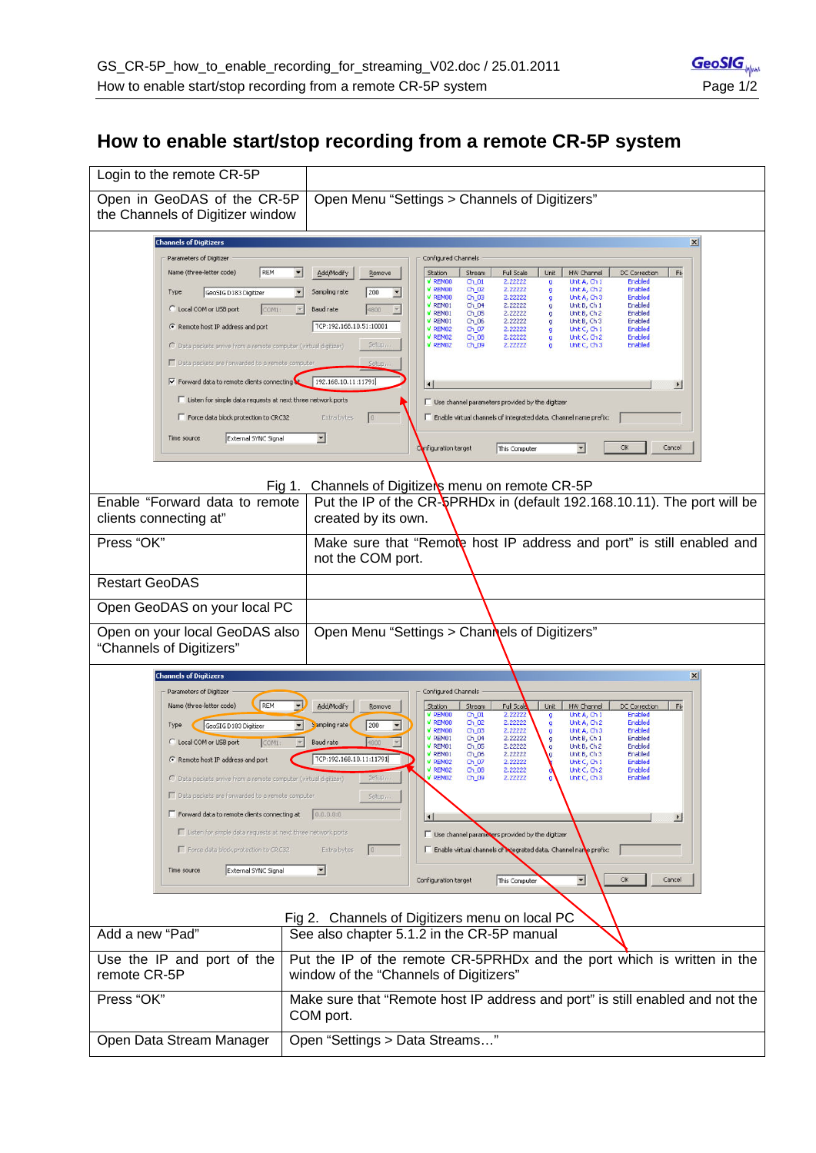## **How to enable start/stop recording from a remote CR-5P system**

| Login to the remote CR-5P                                                                                                                                                                                                                                                                                                                                                                                                                                                                                                                                                                                                                                                                                                                                                                                                                                                                                                                                                                                                                                                                                                                                                                                                                                                                                                                                                                                                                                                                                                                                                                                                                                                                  |                                                                                                                                                                                                                                                                                                                                                                                                                                                                                                                                                                                                                                                                                                                                                                                                                                                                                                                                                                                                                                                                                                                                                                           |  |
|--------------------------------------------------------------------------------------------------------------------------------------------------------------------------------------------------------------------------------------------------------------------------------------------------------------------------------------------------------------------------------------------------------------------------------------------------------------------------------------------------------------------------------------------------------------------------------------------------------------------------------------------------------------------------------------------------------------------------------------------------------------------------------------------------------------------------------------------------------------------------------------------------------------------------------------------------------------------------------------------------------------------------------------------------------------------------------------------------------------------------------------------------------------------------------------------------------------------------------------------------------------------------------------------------------------------------------------------------------------------------------------------------------------------------------------------------------------------------------------------------------------------------------------------------------------------------------------------------------------------------------------------------------------------------------------------|---------------------------------------------------------------------------------------------------------------------------------------------------------------------------------------------------------------------------------------------------------------------------------------------------------------------------------------------------------------------------------------------------------------------------------------------------------------------------------------------------------------------------------------------------------------------------------------------------------------------------------------------------------------------------------------------------------------------------------------------------------------------------------------------------------------------------------------------------------------------------------------------------------------------------------------------------------------------------------------------------------------------------------------------------------------------------------------------------------------------------------------------------------------------------|--|
| Open in GeoDAS of the CR-5P<br>the Channels of Digitizer window                                                                                                                                                                                                                                                                                                                                                                                                                                                                                                                                                                                                                                                                                                                                                                                                                                                                                                                                                                                                                                                                                                                                                                                                                                                                                                                                                                                                                                                                                                                                                                                                                            | Open Menu "Settings > Channels of Digitizers"                                                                                                                                                                                                                                                                                                                                                                                                                                                                                                                                                                                                                                                                                                                                                                                                                                                                                                                                                                                                                                                                                                                             |  |
| <b>Channels of Digitizers</b><br>Parameters of Digitizer<br>Name (three-letter code)<br>REM<br>GeoSIG D183 Digitizer<br>Type<br>C Local COM or USB port<br>COM1:<br>← Remote host IP address and port<br>C Data packets arrive from a remote computer (virtual digitizer)<br>Data packets are forwarded to a remote computer<br>Ⅳ Forward data to remote clients connecting<br>Listen for simple data requests at next three network ports<br>Force data block protection to CRC32<br>External SYNC Signal<br>Time source                                                                                                                                                                                                                                                                                                                                                                                                                                                                                                                                                                                                                                                                                                                                                                                                                                                                                                                                                                                                                                                                                                                                                                  | $\vert x \vert$<br>Configured Channels<br>×<br>Add/Modify<br>Remove<br>Full Scale<br>HW Channel<br>Station<br>Stream<br>Unit<br>DC Correction<br>Fb<br>V REMOO<br>2.22222<br>Unit A, Ch 1<br>Enabled<br>$Ch_01$<br>ø<br>V REMOO<br>2.22222<br>Enabled<br>Ch_02<br>Unit A, Ch 2<br>g<br>200<br>$\overline{ }$<br>Sampling rate<br>≖<br>V REMOO<br>$Ch_03$<br>2.22222<br>Unit A, Ch 3<br>Enabled<br>o<br>2.22222<br>Enabled<br>V REMO1<br>Ch_04<br>Unit B, Ch 1<br>g<br>$\rightarrow$<br><b>Baud rate</b><br>$\mathcal{A}$<br>4800<br>V REMO1<br>$Ch_05$<br>2.22222<br>Unit B, Ch 2<br>Enabled<br>a<br>V REMO1<br>$Ch_06$<br>2.22222<br>Unit B, Ch 3<br>Enabled<br>g<br>TCP:192.168.10.51:10001<br>V REMO2<br>2.22222<br>Unit C, Ch 1<br>Enabled<br>Ch_07<br>V REMOZ<br>2.22222<br>Unit C, Ch 2<br>Enabled<br>$Ch_08$<br>Setup,<br>$V$ REMO2<br>2.22222<br>Unit C, Ch 3<br>Enabled<br>Ch_09<br>192.168.10.11:11791<br>E<br>Use channel parameters provided by the digitizer<br>Enable virtual channels of integrated data. Channel name prefix:<br>Extra bytes<br>$\overline{\phantom{a}}$<br>$\blacktriangledown$<br>OK<br>Cancel<br>Configuration target<br>This Computer |  |
| Channels of Digitizers menu on remote CR-5P<br>Fig 1.                                                                                                                                                                                                                                                                                                                                                                                                                                                                                                                                                                                                                                                                                                                                                                                                                                                                                                                                                                                                                                                                                                                                                                                                                                                                                                                                                                                                                                                                                                                                                                                                                                      |                                                                                                                                                                                                                                                                                                                                                                                                                                                                                                                                                                                                                                                                                                                                                                                                                                                                                                                                                                                                                                                                                                                                                                           |  |
| Enable "Forward data to remote<br>clients connecting at"                                                                                                                                                                                                                                                                                                                                                                                                                                                                                                                                                                                                                                                                                                                                                                                                                                                                                                                                                                                                                                                                                                                                                                                                                                                                                                                                                                                                                                                                                                                                                                                                                                   | Put the IP of the CR-SPRHDx in (default 192.168.10.11). The port will be<br>created by its own.                                                                                                                                                                                                                                                                                                                                                                                                                                                                                                                                                                                                                                                                                                                                                                                                                                                                                                                                                                                                                                                                           |  |
| Press "OK"                                                                                                                                                                                                                                                                                                                                                                                                                                                                                                                                                                                                                                                                                                                                                                                                                                                                                                                                                                                                                                                                                                                                                                                                                                                                                                                                                                                                                                                                                                                                                                                                                                                                                 | Make sure that "Remote host IP address and port" is still enabled and<br>not the COM port.                                                                                                                                                                                                                                                                                                                                                                                                                                                                                                                                                                                                                                                                                                                                                                                                                                                                                                                                                                                                                                                                                |  |
| <b>Restart GeoDAS</b>                                                                                                                                                                                                                                                                                                                                                                                                                                                                                                                                                                                                                                                                                                                                                                                                                                                                                                                                                                                                                                                                                                                                                                                                                                                                                                                                                                                                                                                                                                                                                                                                                                                                      |                                                                                                                                                                                                                                                                                                                                                                                                                                                                                                                                                                                                                                                                                                                                                                                                                                                                                                                                                                                                                                                                                                                                                                           |  |
| Open GeoDAS on your local PC                                                                                                                                                                                                                                                                                                                                                                                                                                                                                                                                                                                                                                                                                                                                                                                                                                                                                                                                                                                                                                                                                                                                                                                                                                                                                                                                                                                                                                                                                                                                                                                                                                                               |                                                                                                                                                                                                                                                                                                                                                                                                                                                                                                                                                                                                                                                                                                                                                                                                                                                                                                                                                                                                                                                                                                                                                                           |  |
| Open on your local GeoDAS also<br>"Channels of Digitizers"                                                                                                                                                                                                                                                                                                                                                                                                                                                                                                                                                                                                                                                                                                                                                                                                                                                                                                                                                                                                                                                                                                                                                                                                                                                                                                                                                                                                                                                                                                                                                                                                                                 | Open Menu "Settings > Channels of Digitizers"                                                                                                                                                                                                                                                                                                                                                                                                                                                                                                                                                                                                                                                                                                                                                                                                                                                                                                                                                                                                                                                                                                                             |  |
| <b>Channels of Digitizers</b><br>$\mathbf{x}$<br>Parameters of Digitizer<br>Configured Channels<br>REM<br>$\blacktriangledown$<br>Name (three-letter code)<br>Add/Modify<br>Station<br>Stream<br>Full Scal<br>Unit<br>HW Channel<br>DC Correction<br>Remove<br>Fb<br>V REMOO<br>Unit A, Ch 1<br>Enabled<br>$Ch_01$<br>2.22222<br>V REMOO<br>Ch_02<br>2.22222<br>Unit A, Ch 2<br>Enabled<br>o<br>Sampling rate<br>200<br>GeoSIG D183 Digitizer<br>$\blacksquare$<br>Type<br>V REMOO<br>$Ch_03$<br>2.22222<br>Unit A, Ch 3<br>Enabled<br>$V$ REM01<br>$Ch_04$<br>2.22222<br>Unit B, Ch 1<br>Enabled<br>C Local COM or USB port<br>Baud rate<br>COMI<br>V REMO1<br>Enabled<br>$Ch_05$<br>2.22222<br>Unit B, Ch 2<br>V REMO1<br>Enabled<br>Ch_06<br>2.22222<br>Unit B, Ch 3<br>TCP:192.168.10.11:11791<br>← Remote host IP address and port<br>V REMO2<br>Unit C. Ch 1<br>Enabled<br>Ch 07<br>2,22222<br>Enabled<br>V REMO2<br>Ch 08<br>2.22222<br>Unit C, Ch 2<br>C Data packets arrive from a remote computer (virtual digitizer)<br>Setup,<br>V REMO2<br>Ch_09<br>2.22222<br>Unit C, Ch 3<br>Enabled<br>Data packets are forwarded to a remote computer.<br>Setup.<br>Forward data to remote clients connecting at<br>0.0.0.0.0<br>$\left  \cdot \right $<br>$\blacktriangleright$<br>Listen for simple data requests at next three network ports<br>Use channel parameters provided by the digitizer<br>Enable virtual channels of retegrated data. Channel name prefix:<br>Force data block protection to CRC32<br>Extra bytes<br> 0 <br>External SYNC Signal<br>$\overline{\phantom{a}}$<br>Time source<br>$\blacktriangledown$<br>OK<br>Cancel<br>Configuration target<br>This Computer |                                                                                                                                                                                                                                                                                                                                                                                                                                                                                                                                                                                                                                                                                                                                                                                                                                                                                                                                                                                                                                                                                                                                                                           |  |
| Add a new "Pad"                                                                                                                                                                                                                                                                                                                                                                                                                                                                                                                                                                                                                                                                                                                                                                                                                                                                                                                                                                                                                                                                                                                                                                                                                                                                                                                                                                                                                                                                                                                                                                                                                                                                            | Fig 2. Channels of Digitizers menu on local PC<br>See also chapter 5.1.2 in the CR-5P manual                                                                                                                                                                                                                                                                                                                                                                                                                                                                                                                                                                                                                                                                                                                                                                                                                                                                                                                                                                                                                                                                              |  |
| Use the IP and port of the<br>remote CR-5P                                                                                                                                                                                                                                                                                                                                                                                                                                                                                                                                                                                                                                                                                                                                                                                                                                                                                                                                                                                                                                                                                                                                                                                                                                                                                                                                                                                                                                                                                                                                                                                                                                                 | Put the IP of the remote CR-5PRHDx and the port which is written in the<br>window of the "Channels of Digitizers"                                                                                                                                                                                                                                                                                                                                                                                                                                                                                                                                                                                                                                                                                                                                                                                                                                                                                                                                                                                                                                                         |  |
| Press "OK"                                                                                                                                                                                                                                                                                                                                                                                                                                                                                                                                                                                                                                                                                                                                                                                                                                                                                                                                                                                                                                                                                                                                                                                                                                                                                                                                                                                                                                                                                                                                                                                                                                                                                 | Make sure that "Remote host IP address and port" is still enabled and not the<br>COM port.                                                                                                                                                                                                                                                                                                                                                                                                                                                                                                                                                                                                                                                                                                                                                                                                                                                                                                                                                                                                                                                                                |  |
| Open Data Stream Manager                                                                                                                                                                                                                                                                                                                                                                                                                                                                                                                                                                                                                                                                                                                                                                                                                                                                                                                                                                                                                                                                                                                                                                                                                                                                                                                                                                                                                                                                                                                                                                                                                                                                   | Open "Settings > Data Streams"                                                                                                                                                                                                                                                                                                                                                                                                                                                                                                                                                                                                                                                                                                                                                                                                                                                                                                                                                                                                                                                                                                                                            |  |